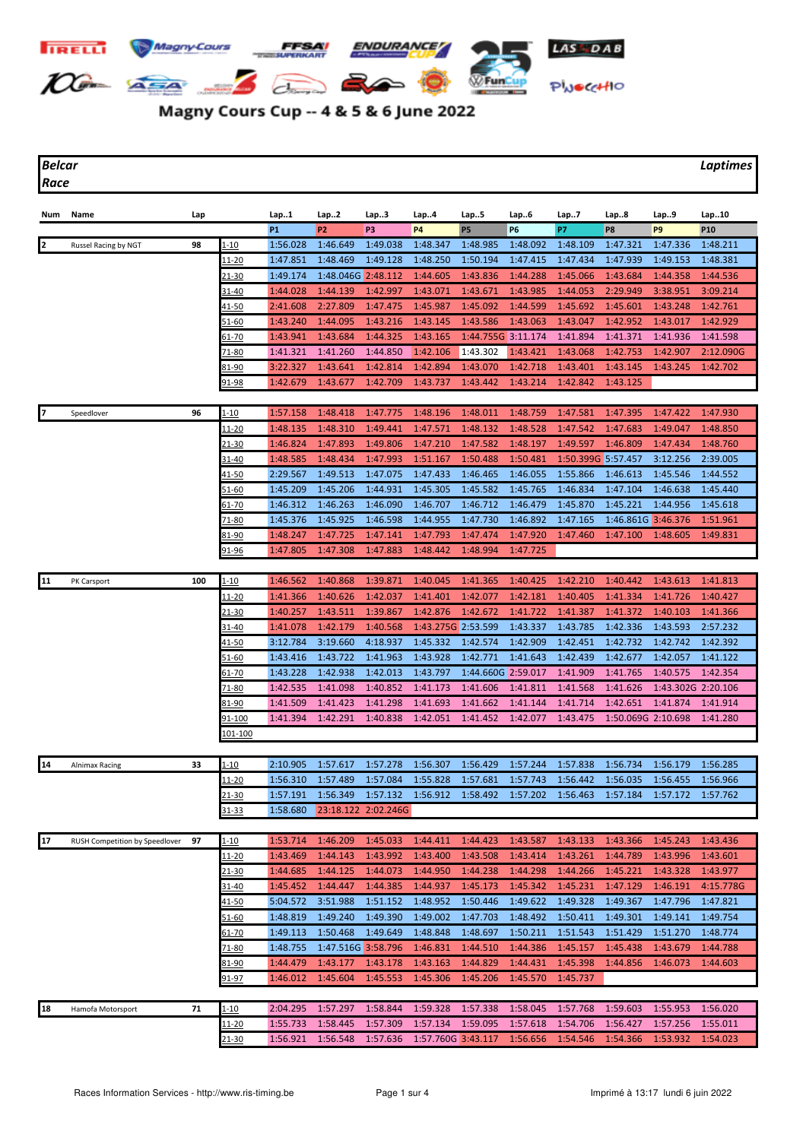

## Magny Cours Cup -- 4 & 5 & 6 June 2022

*Race*

*Belcar Laptimes*

| Num | Name                           | Lap |                 | Lap1           | Lap2               | Lap3                | Lap4               | Lap5               | Lap6           | Lap7               | Lap8               | Lap9               | Lap10      |
|-----|--------------------------------|-----|-----------------|----------------|--------------------|---------------------|--------------------|--------------------|----------------|--------------------|--------------------|--------------------|------------|
|     |                                |     |                 | P <sub>1</sub> | P <sub>2</sub>     | P3                  | <b>P4</b>          | <b>P5</b>          | P <sub>6</sub> | P7                 | P8                 | P <sub>9</sub>     | <b>P10</b> |
| 12  | Russel Racing by NGT           | 98  | $1 - 10$        | 1:56.028       | 1:46.649           | 1:49.038            | 1:48.347           | 1:48.985           | 1:48.092       | 1:48.109           | 1:47.321           | 1:47.336           | 1:48.211   |
|     |                                |     | <u> 11-20</u>   | 1:47.851       | 1:48.469           | 1:49.128            | 1:48.250           | 1:50.194           | 1:47.415       | 1:47.434           | 1:47.939           | 1:49.153           | 1:48.381   |
|     |                                |     | 21-30           | 1:49.174       | 1:48.046G 2:48.112 |                     | 1:44.605           | 1:43.836           | 1:44.288       | 1:45.066           | 1:43.684           | 1:44.358           | 1:44.536   |
|     |                                |     | 31-40           | 1:44.028       | 1:44.139           | 1:42.997            | 1:43.071           | 1:43.671           | 1:43.985       | 1:44.053           | 2:29.949           | 3:38.951           | 3:09.214   |
|     |                                |     | <u>41-50</u>    | 2:41.608       | 2:27.809           | 1:47.475            | 1:45.987           | 1:45.092           | 1:44.599       | 1:45.692           | 1:45.601           | 1:43.248           | 1:42.761   |
|     |                                |     | <u>51-60</u>    | 1:43.240       | 1:44.095           | 1:43.216            | 1:43.145           | 1:43.586           | 1:43.063       | 1:43.047           | 1:42.952           | 1:43.017           | 1:42.929   |
|     |                                |     | 61-70           | 1:43.941       | 1:43.684           | 1:44.325            | 1:43.165           | 1:44.755G 3:11.174 |                | 1:41.894           | 1:41.371           | 1:41.936           | 1:41.598   |
|     |                                |     |                 | 1:41.321       | 1:41.260           | 1:44.850            | 1:42.106           | 1:43.302           | 1:43.421       | 1:43.068           | 1:42.753           | 1:42.907           | 2:12.090G  |
|     |                                |     | 71-80           |                | 1:43.641           |                     |                    |                    | 1:42.718       |                    |                    |                    |            |
|     |                                |     | 81-90           | 3:22.327       |                    | 1:42.814            | 1:42.894           | 1:43.070           |                | 1:43.401           | 1:43.145           | 1:43.245           | 1:42.702   |
|     |                                |     | <u>91-98</u>    | 1:42.679       | 1:43.677           | 1:42.709            | 1:43.737           | 1:43.442           | 1:43.214       | 1:42.842           | 1:43.125           |                    |            |
|     | Speedlover                     | 96  | 1-10            | 1:57.158       | 1:48.418           | 1:47.775            | 1:48.196           | 1:48.011           | 1:48.759       | 1:47.581           | 1:47.395           | 1:47.422           | 1:47.930   |
|     |                                |     | 11-20           | 1:48.135       | 1:48.310           | 1:49.441            | 1:47.571           | 1:48.132           | 1:48.528       | 1:47.542           | 1:47.683           | 1:49.047           | 1:48.850   |
|     |                                |     | $21 - 30$       | 1:46.824       | 1:47.893           | 1:49.806            | 1:47.210           | 1:47.582           | 1:48.197       | 1:49.597           | 1:46.809           | 1:47.434           | 1:48.760   |
|     |                                |     |                 |                |                    |                     |                    |                    |                |                    |                    |                    |            |
|     |                                |     | 31-40           | 1:48.585       | 1:48.434           | 1:47.993            | 1:51.167           | 1:50.488           | 1:50.481       | 1:50.399G 5:57.457 |                    | 3:12.256           | 2:39.005   |
|     |                                |     | <u>41-50</u>    | 2:29.567       | 1:49.513           | 1:47.075            | 1:47.433           | 1:46.465           | 1:46.055       | 1:55.866           | 1:46.613           | 1:45.546           | 1:44.552   |
|     |                                |     | <u>51-60</u>    | 1:45.209       | 1:45.206           | 1:44.931            | 1:45.305           | 1:45.582           | 1:45.765       | 1:46.834           | 1:47.104           | 1:46.638           | 1:45.440   |
|     |                                |     | $61 - 70$       | 1:46.312       | 1:46.263           | 1:46.090            | 1:46.707           | 1:46.712           | 1:46.479       | 1:45.870           | 1:45.221           | 1:44.956           | 1:45.618   |
|     |                                |     | 71-80           | 1:45.376       | 1:45.925           | 1:46.598            | 1:44.955           | 1:47.730           | 1:46.892       | 1:47.165           | 1:46.861G 3:46.376 |                    | 1:51.961   |
|     |                                |     | 81-90           | 1:48.247       | 1:47.725           | 1:47.141            | 1:47.793           | 1:47.474           | 1:47.920       | 1:47.460           | 1:47.100           | 1:48.605           | 1:49.831   |
|     |                                |     | 91-96           | 1:47.805       | 1:47.308           | 1:47.883            | 1:48.442           | 1:48.994           | 1:47.725       |                    |                    |                    |            |
|     |                                |     |                 |                |                    |                     |                    |                    |                |                    |                    |                    |            |
| 11  | PK Carsport                    | 100 | $1 - 10$        | 1:46.562       | 1:40.868           | 1:39.871            | 1:40.045           | 1:41.365           | 1:40.425       | 1:42.210           | 1:40.442           | 1:43.613           | 1:41.813   |
|     |                                |     | 11-20           | 1:41.366       | 1:40.626           | 1:42.037            | 1:41.401           | 1:42.077           | 1:42.181       | 1:40.405           | 1:41.334           | 1:41.726           | 1:40.427   |
|     |                                |     | <u>21-30</u>    | 1:40.257       | 1:43.511           | 1:39.867            | 1:42.876           | 1:42.672           | 1:41.722       | 1:41.387           | 1:41.372           | 1:40.103           | 1:41.366   |
|     |                                |     | 31-40           | 1:41.078       | 1:42.179           | 1:40.568            | 1:43.275G 2:53.599 |                    | 1:43.337       | 1:43.785           | 1:42.336           | 1:43.593           | 2:57.232   |
|     |                                |     | <u>41-50</u>    | 3:12.784       | 3:19.660           | 4:18.937            | 1:45.332           | 1:42.574           | 1:42.909       | 1:42.451           | 1:42.732           | 1:42.742           | 1:42.392   |
|     |                                |     | 51-60           | 1:43.416       | 1:43.722           | 1:41.963            | 1:43.928           | 1:42.771           | 1:41.643       | 1:42.439           | 1:42.677           | 1:42.057           | 1:41.122   |
|     |                                |     | <u>61-70</u>    | 1:43.228       | 1:42.938           | 1:42.013            | 1:43.797           | 1:44.660G 2:59.017 |                | 1:41.909           | 1:41.765           | 1:40.575           | 1:42.354   |
|     |                                |     | 71-80           | 1:42.535       | 1:41.098           | 1:40.852            | 1:41.173           | 1:41.606           | 1:41.811       | 1:41.568           | 1:41.626           | 1:43.302G 2:20.106 |            |
|     |                                |     | 81-90           | 1:41.509       | 1:41.423           | 1:41.298            | 1:41.693           | 1:41.662           | 1:41.144       | 1:41.714           | 1:42.651           | 1:41.874           | 1:41.914   |
|     |                                |     | 91-100          | 1:41.394       | 1:42.291           | 1:40.838            | 1:42.051           | 1:41.452           | 1:42.077       | 1:43.475           | 1:50.069G 2:10.698 |                    | 1:41.280   |
|     |                                |     | <u> 101-100</u> |                |                    |                     |                    |                    |                |                    |                    |                    |            |
|     |                                |     |                 |                |                    |                     |                    |                    |                |                    |                    |                    |            |
| 14  | <b>Alnimax Racing</b>          | 33  | $1 - 10$        | 2:10.905       | 1:57.617           | 1:57.278            | 1:56.307           | 1:56.429           | 1:57.244       | 1:57.838           | 1:56.734           | 1:56.179           | 1:56.285   |
|     |                                |     | <u> 11-20</u>   | 1:56.310       | 1:57.489           | 1:57.084            | 1:55.828           | 1:57.681           | 1:57.743       | 1:56.442           | 1:56.035           | 1:56.455           | 1:56.966   |
|     |                                |     | <u>21-30</u>    | 1:57.191       | 1:56.349           | 1:57.132            | 1:56.912           | 1:58.492           | 1:57.202       | 1:56.463           | 1:57.184           | 1:57.172           | 1:57.762   |
|     |                                |     | <u>31-33</u>    | 1:58.680       |                    | 23:18.122 2:02.246G |                    |                    |                |                    |                    |                    |            |
|     |                                |     |                 |                |                    |                     |                    |                    |                |                    |                    |                    |            |
| 17  | RUSH Competition by Speedlover | 97  | $1 - 10$        | 1:53.714       | 1:46.209           | 1:45.033            | 1:44.411           | 1:44.423           | 1:43.587       | 1:43.133           | 1:43.366           | 1:45.243           | 1:43.436   |
|     |                                |     | <u>11-20</u>    | 1:43.469       | 1:44.143           | 1:43.992            | 1:43.400           | 1:43.508           | 1:43.414       | 1:43.261           | 1:44.789           | 1:43.996           | 1:43.601   |
|     |                                |     | 21-30           | 1:44.685       | 1:44.125           | 1:44.073            | 1:44.950           | 1:44.238           | 1:44.298       | 1:44.266           | 1:45.221           | 1:43.328           | 1:43.977   |
|     |                                |     | 31-40           | 1:45.452       | 1:44.447           | 1:44.385            | 1:44.937           | 1:45.173           | 1:45.342       | 1:45.231           | 1:47.129           | 1:46.191           | 4:15.778G  |
|     |                                |     | 41-50           | 5:04.572       | 3:51.988           | 1:51.152            | 1:48.952           | 1:50.446           | 1:49.622       | 1:49.328           | 1:49.367           | 1:47.796           | 1:47.821   |
|     |                                |     | 51-60           | 1:48.819       | 1:49.240           | 1:49.390            | 1:49.002           | 1:47.703           | 1:48.492       | 1:50.411           | 1:49.301           | 1:49.141           | 1:49.754   |
|     |                                |     | <u>61-70</u>    | 1:49.113       | 1:50.468           | 1:49.649            | 1:48.848           | 1:48.697           | 1:50.211       | 1:51.543           | 1:51.429           | 1:51.270           | 1:48.774   |
|     |                                |     | 71-80           | 1:48.755       | 1:47.516G 3:58.796 |                     | 1:46.831           | 1:44.510           | 1:44.386       | 1:45.157           | 1:45.438           | 1:43.679           | 1:44.788   |
|     |                                |     | <u>81-90</u>    | 1:44.479       | 1:43.177           | 1:43.178            | 1:43.163           | 1:44.829           | 1:44.431       | 1:45.398           | 1:44.856           | 1:46.073           | 1:44.603   |
|     |                                |     | 91-97           | 1:46.012       | 1:45.604           | 1:45.553            | 1:45.306           | 1:45.206           | 1:45.570       | 1:45.737           |                    |                    |            |
|     |                                |     |                 |                |                    |                     |                    |                    |                |                    |                    |                    |            |
| 18  | Hamofa Motorsport              | 71  | $1 - 10$        | 2:04.295       | 1:57.297           | 1:58.844            | 1:59.328           | 1:57.338           | 1:58.045       | 1:57.768           | 1:59.603           | 1:55.953           | 1:56.020   |
|     |                                |     | <u> 11-20</u>   | 1:55.733       | 1:58.445           | 1:57.309            | 1:57.134           | 1:59.095           | 1:57.618       | 1:54.706           | 1:56.427           | 1:57.256           | 1:55.011   |
|     |                                |     | 21-30           | 1:56.921       | 1:56.548           | 1:57.636            | 1:57.760G 3:43.117 |                    | 1:56.656       | 1:54.546           | 1:54.366           | 1:53.932           | 1:54.023   |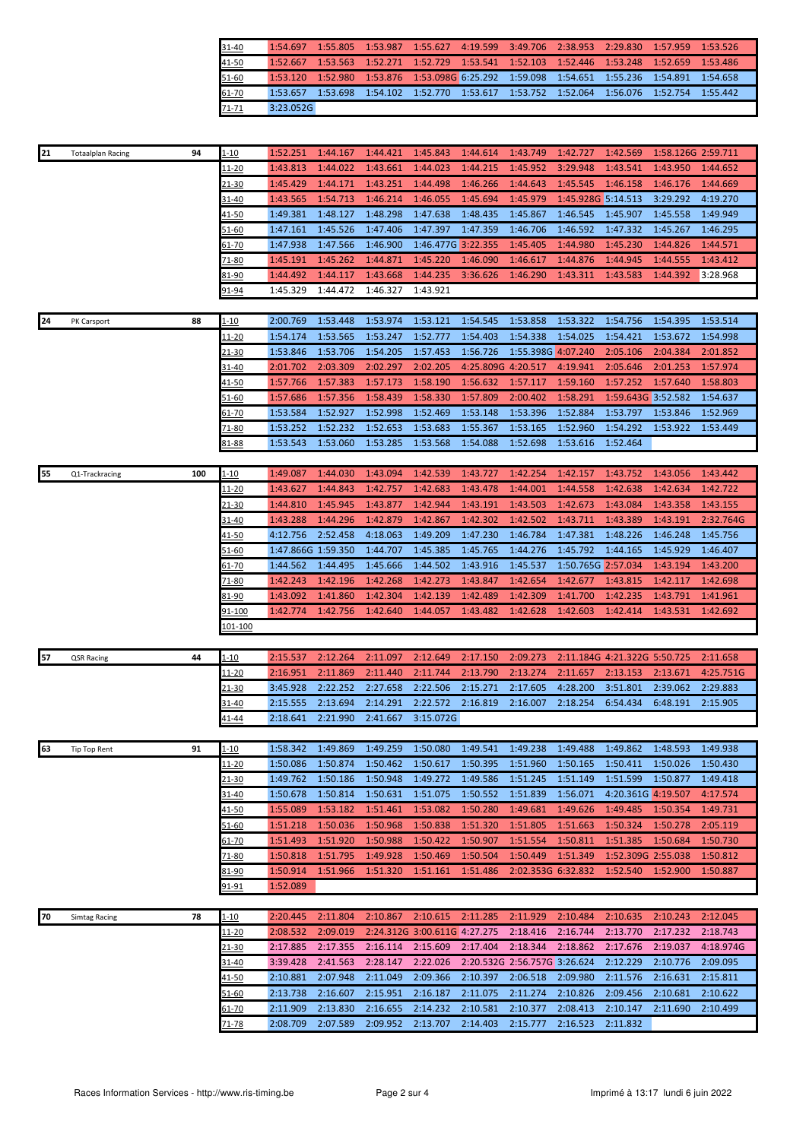| $31 - 40$ |           |  | 1:54.697 1:55.805 1:53.987 1:55.627 4:19.599 3:49.706 2:38.953 2:29.830 1:57.959 1:53.526  |  |  |  |
|-----------|-----------|--|--------------------------------------------------------------------------------------------|--|--|--|
| 41-50     |           |  | 1:52.667 1:53.563 1:52.271 1:52.729 1:53.541 1:52.103 1:52.446 1:53.248 1:52.659 1:53.486  |  |  |  |
| $51 - 60$ |           |  | 1:53.120 1:52.980 1:53.876 1:53.098G 6:25.292 1:59.098 1:54.651 1:55.236 1:54.891 1:54.658 |  |  |  |
| $61-70$   |           |  | 1:53.657 1:53.698 1:54.102 1:52.770 1:53.617 1:53.752 1:52.064 1:56.076 1:52.754 1:55.442  |  |  |  |
| $71 - 71$ | 3:23.052G |  |                                                                                            |  |  |  |

| 21 | <b>Totaalplan Racing</b> | 94  | 1-10          | 1:52.251           | 1:44.167 | 1:44.421 | 1:45.843                     | 1:44.614           | 1:43.749                     | 1:42.727           | 1:42.569                     | 1:58.126G 2:59.711 |           |
|----|--------------------------|-----|---------------|--------------------|----------|----------|------------------------------|--------------------|------------------------------|--------------------|------------------------------|--------------------|-----------|
|    |                          |     | 11-20         | 1:43.813           | 1:44.022 | 1:43.661 | 1:44.023                     | 1:44.215           | 1:45.952                     | 3:29.948           | 1:43.541                     | 1:43.950           | 1:44.652  |
|    |                          |     | <u>21-30</u>  | 1:45.429           | 1:44.171 | 1:43.251 | 1:44.498                     | 1:46.266           | 1:44.643                     | 1:45.545           | 1:46.158                     | 1:46.176           | 1:44.669  |
|    |                          |     | 31-40         | 1:43.565           | 1:54.713 | 1:46.214 | 1:46.055                     | 1:45.694           | 1:45.979                     | 1:45.928G 5:14.513 |                              | 3:29.292           | 4:19.270  |
|    |                          |     | <u>41-50</u>  | 1:49.381           | 1:48.127 | 1:48.298 | 1:47.638                     | 1:48.435           | 1:45.867                     | 1:46.545           | 1:45.907                     | 1:45.558           | 1:49.949  |
|    |                          |     | 51-60         | 1:47.161           | 1:45.526 | 1:47.406 | 1:47.397                     | 1:47.359           | 1:46.706                     | 1:46.592           | 1:47.332                     | 1:45.267           | 1:46.295  |
|    |                          |     | $61 - 70$     | 1:47.938           | 1:47.566 | 1:46.900 | 1:46.477G 3:22.355           |                    | 1:45.405                     | 1:44.980           | 1:45.230                     | 1:44.826           | 1:44.571  |
|    |                          |     | 71-80         | 1:45.191           | 1:45.262 | 1:44.871 | 1:45.220                     | 1:46.090           | 1:46.617                     | 1:44.876           | 1:44.945                     | 1:44.555           | 1:43.412  |
|    |                          |     | 81-90         | 1:44.492           | 1:44.117 | 1:43.668 | 1:44.235                     | 3:36.626           | 1:46.290                     | 1:43.311           | 1:43.583                     | 1:44.392           | 3:28.968  |
|    |                          |     | 91-94         | 1:45.329           | 1:44.472 | 1:46.327 | 1:43.921                     |                    |                              |                    |                              |                    |           |
|    |                          |     |               |                    |          |          |                              |                    |                              |                    |                              |                    |           |
|    |                          |     |               | 2:00.769           | 1:53.448 | 1:53.974 | 1:53.121                     | 1:54.545           | 1:53.858                     | 1:53.322           | 1:54.756                     | 1:54.395           | 1:53.514  |
| 24 | PK Carsport              | 88  | $1 - 10$      |                    |          |          |                              | 1:54.403           |                              |                    |                              |                    |           |
|    |                          |     | <u> 11-20</u> | 1:54.174           | 1:53.565 | 1:53.247 | 1:52.777                     |                    | 1:54.338                     | 1:54.025           | 1:54.421                     | 1:53.672           | 1:54.998  |
|    |                          |     | 21-30         | 1:53.846           | 1:53.706 | 1:54.205 | 1:57.453                     | 1:56.726           | 1:55.398G 4:07.240           |                    | 2:05.106                     | 2:04.384           | 2:01.852  |
|    |                          |     | 31-40         | 2:01.702           | 2:03.309 | 2:02.297 | 2:02.205                     | 4:25.809G 4:20.517 |                              | 4:19.941           | 2:05.646                     | 2:01.253           | 1:57.974  |
|    |                          |     | <u>41-50</u>  | 1:57.766           | 1:57.383 | 1:57.173 | 1:58.190                     | 1:56.632           | 1:57.117                     | 1:59.160           | 1:57.252                     | 1:57.640           | 1:58.803  |
|    |                          |     | 51-60         | 1:57.686           | 1:57.356 | 1:58.439 | 1:58.330                     | 1:57.809           | 2:00.402                     | 1:58.291           | 1:59.643G 3:52.582           |                    | 1:54.637  |
|    |                          |     | <u>61-70</u>  | 1:53.584           | 1:52.927 | 1:52.998 | 1:52.469                     | 1:53.148           | 1:53.396                     | 1:52.884           | 1:53.797                     | 1:53.846           | 1:52.969  |
|    |                          |     | $71 - 80$     | 1:53.252           | 1:52.232 | 1:52.653 | 1:53.683                     | 1:55.367           | 1:53.165                     | 1:52.960           | 1:54.292                     | 1:53.922           | 1:53.449  |
|    |                          |     | 81-88         | 1:53.543           | 1:53.060 | 1:53.285 | 1:53.568                     | 1:54.088           | 1:52.698                     | 1:53.616           | 1:52.464                     |                    |           |
|    |                          |     |               |                    |          |          |                              |                    |                              |                    |                              |                    |           |
| 55 | Q1-Trackracing           | 100 | $1 - 10$      | 1:49.087           | 1:44.030 | 1:43.094 | 1:42.539                     | 1:43.727           | 1:42.254                     | 1:42.157           | 1:43.752                     | 1:43.056           | 1:43.442  |
|    |                          |     | 11-20         | 1:43.627           | 1:44.843 | 1:42.757 | 1:42.683                     | 1:43.478           | 1:44.001                     | 1:44.558           | 1:42.638                     | 1:42.634           | 1:42.722  |
|    |                          |     | 21-30         | 1:44.810           | 1:45.945 | 1:43.877 | 1:42.944                     | 1:43.191           | 1:43.503                     | 1:42.673           | 1:43.084                     | 1:43.358           | 1:43.155  |
|    |                          |     | 31-40         | 1:43.288           | 1:44.296 | 1:42.879 | 1:42.867                     | 1:42.302           | 1:42.502                     | 1:43.711           | 1:43.389                     | 1:43.191           | 2:32.764G |
|    |                          |     | 41-50         | 4:12.756           | 2:52.458 | 4:18.063 | 1:49.209                     | 1:47.230           | 1:46.784                     | 1:47.381           | 1:48.226                     | 1:46.248           | 1:45.756  |
|    |                          |     | 51-60         | 1:47.866G 1:59.350 |          | 1:44.707 | 1:45.385                     | 1:45.765           | 1:44.276                     | 1:45.792           | 1:44.165                     | 1:45.929           | 1:46.407  |
|    |                          |     | $61 - 70$     | 1:44.562           | 1:44.495 | 1:45.666 | 1:44.502                     | 1:43.916           | 1:45.537                     | 1:50.765G 2:57.034 |                              | 1:43.194           | 1:43.200  |
|    |                          |     | 71-80         | 1:42.243           | 1:42.196 | 1:42.268 | 1:42.273                     | 1:43.847           | 1:42.654                     | 1:42.677           | 1:43.815                     | 1:42.117           | 1:42.698  |
|    |                          |     | 81-90         | 1:43.092           | 1:41.860 | 1:42.304 | 1:42.139                     | 1:42.489           | 1:42.309                     | 1:41.700           | 1:42.235                     | 1:43.791           | 1:41.961  |
|    |                          |     | <u>91-100</u> | 1:42.774           | 1:42.756 | 1:42.640 | 1:44.057                     | 1:43.482           | 1:42.628                     | 1:42.603           | 1:42.414                     | 1:43.531           | 1:42.692  |
|    |                          |     | 101-100       |                    |          |          |                              |                    |                              |                    |                              |                    |           |
|    |                          |     |               |                    |          |          |                              |                    |                              |                    |                              |                    |           |
| 57 | QSR Racing               | 44  | $1 - 10$      | 2:15.537           | 2:12.264 | 2:11.097 | 2:12.649                     | 2:17.150           | 2:09.273                     |                    | 2:11.184G 4:21.322G 5:50.725 |                    | 2:11.658  |
|    |                          |     | 11-20         | 2:16.951           | 2:11.869 | 2:11.440 | 2:11.744                     | 2:13.790           | 2:13.274                     | 2:11.657           | 2:13.153                     | 2:13.671           | 4:25.751G |
|    |                          |     | 21-30         | 3:45.928           | 2:22.252 | 2:27.658 | 2:22.506                     | 2:15.271           | 2:17.605                     | 4:28.200           | 3:51.801                     | 2:39.062           | 2:29.883  |
|    |                          |     | 31-40         | 2:15.555           | 2:13.694 | 2:14.291 | 2:22.572                     | 2:16.819           | 2:16.007                     | 2:18.254           | 6:54.434                     | 6:48.191           | 2:15.905  |
|    |                          |     | $41 - 44$     | 2:18.641           | 2:21.990 | 2:41.667 | 3:15.072G                    |                    |                              |                    |                              |                    |           |
|    |                          |     |               |                    |          |          |                              |                    |                              |                    |                              |                    |           |
| 63 | Tip Top Rent             | 91  | $1 - 10$      | 1:58.342           | 1:49.869 | 1:49.259 | 1:50.080                     | 1:49.541           | 1:49.238                     | 1:49.488           | 1:49.862                     | 1:48.593           | 1:49.938  |
|    |                          |     | <u> 11-20</u> | 1:50.086           | 1:50.874 | 1:50.462 | 1:50.617                     | 1:50.395           | 1:51.960                     | 1:50.165           | 1:50.411                     | 1:50.026           | 1:50.430  |
|    |                          |     | <u>21-30</u>  | 1:49.762           | 1:50.186 | 1:50.948 | 1:49.272                     | 1:49.586           | 1:51.245                     | 1:51.149           | 1:51.599                     | 1:50.877           | 1:49.418  |
|    |                          |     | 31-40         | 1:50.678           | 1:50.814 | 1:50.631 | 1:51.075                     | 1:50.552           | 1:51.839                     | 1:56.071           | 4:20.361G 4:19.507           |                    | 4:17.574  |
|    |                          |     | 41-50         | 1:55.089           | 1:53.182 | 1:51.461 | 1:53.082                     | 1:50.280           | 1:49.681                     | 1:49.626           | 1:49.485                     | 1:50.354           | 1:49.731  |
|    |                          |     |               | 1:51.218           | 1:50.036 | 1:50.968 | 1:50.838                     | 1:51.320           | 1:51.805                     | 1:51.663           | 1:50.324                     | 1:50.278           | 2:05.119  |
|    |                          |     | 51-60         |                    |          |          |                              |                    |                              |                    |                              |                    | 1:50.730  |
|    |                          |     | 61-70         | 1:51.493           | 1:51.920 | 1:50.988 | 1:50.422                     | 1:50.907           | 1:51.554                     | 1:50.811           | 1:51.385                     | 1:50.684           |           |
|    |                          |     | 71-80         | 1:50.818           | 1:51.795 | 1:49.928 | 1:50.469                     | 1:50.504           | 1:50.449                     | 1:51.349           | 1:52.309G 2:55.038           |                    | 1:50.812  |
|    |                          |     | 81-90         | 1:50.914           | 1:51.966 | 1:51.320 | 1:51.161                     | 1:51.486           | 2:02.353G 6:32.832           |                    | 1:52.540                     | 1:52.900           | 1:50.887  |
|    |                          |     | <u>91-91</u>  | 1:52.089           |          |          |                              |                    |                              |                    |                              |                    |           |
|    |                          |     |               |                    |          |          |                              |                    |                              |                    |                              |                    |           |
| 70 | <b>Simtag Racing</b>     | 78  | $1 - 10$      | 2:20.445           | 2:11.804 | 2:10.867 | 2:10.615                     | 2:11.285           | 2:11.929                     | 2:10.484           | 2:10.635                     | 2:10.243           | 2:12.045  |
|    |                          |     | <u> 11-20</u> | 2:08.532           | 2:09.019 |          | 2:24.312G 3:00.611G 4:27.275 |                    | 2:18.416                     | 2:16.744           | 2:13.770                     | 2:17.232           | 2:18.743  |
|    |                          |     | $21 - 30$     | 2:17.885           | 2:17.355 | 2:16.114 | 2:15.609                     | 2:17.404           | 2:18.344                     | 2:18.862           | 2:17.676                     | 2:19.037           | 4:18.974G |
|    |                          |     | 31-40         | 3:39.428           | 2:41.563 | 2:28.147 | 2:22.026                     |                    | 2:20.532G 2:56.757G 3:26.624 |                    | 2:12.229                     | 2:10.776           | 2:09.095  |
|    |                          |     | 41-50         | 2:10.881           | 2:07.948 | 2:11.049 | 2:09.366                     | 2:10.397           | 2:06.518                     | 2:09.980           | 2:11.576                     | 2:16.631           | 2:15.811  |
|    |                          |     | 51-60         | 2:13.738           | 2:16.607 | 2:15.951 | 2:16.187                     | 2:11.075           | 2:11.274                     | 2:10.826           | 2:09.456                     | 2:10.681           | 2:10.622  |
|    |                          |     | 61-70         | 2:11.909           | 2:13.830 | 2:16.655 | 2:14.232                     | 2:10.581           | 2:10.377                     | 2:08.413           | 2:10.147                     | 2:11.690           | 2:10.499  |
|    |                          |     | $71 - 78$     | 2:08.709           | 2:07.589 | 2:09.952 | 2:13.707                     | 2:14.403           | 2:15.777                     | 2:16.523           | 2:11.832                     |                    |           |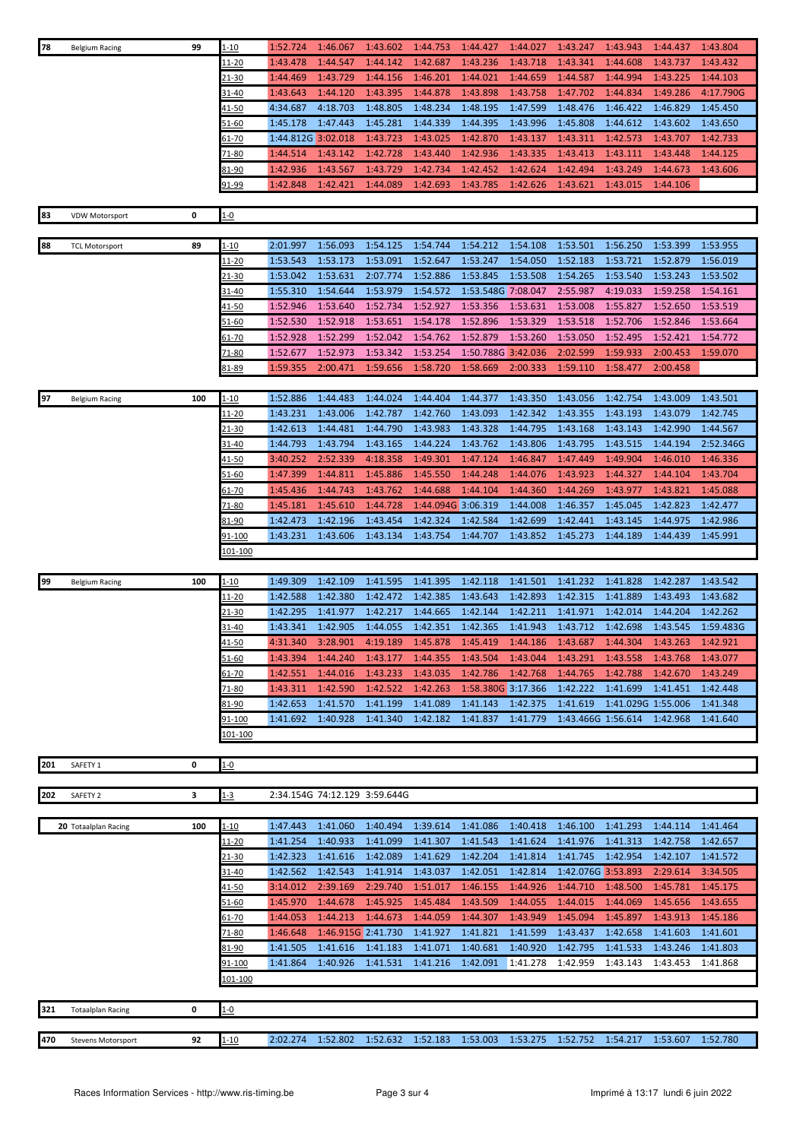| 78  | <b>Belgium Racing</b>     | 99  | 1-10          | 1:52.724           | 1:46.067 | 1:43.602           | 1:44.753           | 1:44.427           | 1:44.027           | 1:43.247                            | 1:43.943 | 1:44.437           | 1:43.804  |
|-----|---------------------------|-----|---------------|--------------------|----------|--------------------|--------------------|--------------------|--------------------|-------------------------------------|----------|--------------------|-----------|
|     |                           |     | 11-20         | 1:43.478           | 1:44.547 | 1:44.142           | 1:42.687           | 1:43.236           | 1:43.718           | 1:43.341                            | 1:44.608 | 1:43.737           | 1:43.432  |
|     |                           |     | 21-30         | 1:44.469           | 1:43.729 | 1:44.156           | 1:46.201           | 1:44.021           | 1:44.659           | 1:44.587                            | 1:44.994 | 1:43.225           | 1:44.103  |
|     |                           |     | 31-40         | 1:43.643           | 1:44.120 | 1:43.395           | 1:44.878           | 1:43.898           | 1:43.758           | 1:47.702                            | 1:44.834 | 1:49.286           | 4:17.790G |
|     |                           |     | <u>41-50</u>  | 4:34.687           | 4:18.703 | 1:48.805           | 1:48.234           | 1:48.195           | 1:47.599           | 1:48.476                            | 1:46.422 | 1:46.829           | 1:45.450  |
|     |                           |     | $51 - 60$     | 1:45.178           | 1:47.443 | 1:45.281           | 1:44.339           | 1:44.395           | 1:43.996           | 1:45.808                            | 1:44.612 | 1:43.602           | 1:43.650  |
|     |                           |     | 61-70         | 1:44.812G 3:02.018 |          | 1:43.723           | 1:43.025           | 1:42.870           | 1:43.137           | 1:43.311                            | 1:42.573 | 1:43.707           | 1:42.733  |
|     |                           |     |               | 1:44.514           | 1:43.142 | 1:42.728           |                    | 1:42.936           |                    | 1:43.413                            | 1:43.111 | 1:43.448           | 1:44.125  |
|     |                           |     | 71-80         |                    |          |                    | 1:43.440           |                    | 1:43.335           |                                     |          |                    |           |
|     |                           |     | 81-90         | 1:42.936           | 1:43.567 | 1:43.729           | 1:42.734           | 1:42.452           | 1:42.624           | 1:42.494                            | 1:43.249 | 1:44.673           | 1:43.606  |
|     |                           |     | 91-99         | 1:42.848           | 1:42.421 | 1:44.089           | 1:42.693           | 1:43.785           | 1:42.626           | 1:43.621                            | 1:43.015 | 1:44.106           |           |
|     |                           |     |               |                    |          |                    |                    |                    |                    |                                     |          |                    |           |
| 83  | <b>VDW Motorsport</b>     | 0   | $1 - 0$       |                    |          |                    |                    |                    |                    |                                     |          |                    |           |
|     |                           |     |               |                    |          |                    |                    |                    |                    |                                     |          |                    |           |
| 88  | <b>TCL Motorsport</b>     | 89  | l-10          | 2:01.997           | 1:56.093 | 1:54.125           | 1:54.744           | 1:54.212           | 1:54.108           | 1:53.501                            | 1:56.250 | 1:53.399           | 1:53.955  |
|     |                           |     | <u> 11-20</u> | 1:53.543           | 1:53.173 | 1:53.091           | 1:52.647           | 1:53.247           | 1:54.050           | 1:52.183                            | 1:53.721 | 1:52.879           | 1:56.019  |
|     |                           |     | <u>21-30</u>  | 1:53.042           | 1:53.631 | 2:07.774           | 1:52.886           | 1:53.845           | 1:53.508           | 1:54.265                            | 1:53.540 | 1:53.243           | 1:53.502  |
|     |                           |     | 31-40         | 1:55.310           | 1:54.644 | 1:53.979           | 1:54.572           | 1:53.548G 7:08.047 |                    | 2:55.987                            | 4:19.033 | 1:59.258           | 1:54.161  |
|     |                           |     | <u>41-50</u>  | 1:52.946           | 1:53.640 | 1:52.734           | 1:52.927           | 1:53.356           | 1:53.631           | 1:53.008                            | 1:55.827 | 1:52.650           | 1:53.519  |
|     |                           |     | 51-60         | 1:52.530           | 1:52.918 | 1:53.651           | 1:54.178           | 1:52.896           | 1:53.329           | 1:53.518                            | 1:52.706 | 1:52.846           | 1:53.664  |
|     |                           |     | 61-70         | 1:52.928           | 1:52.299 | 1:52.042           | 1:54.762           | 1:52.879           | 1:53.260           | 1:53.050                            | 1:52.495 | 1:52.421           | 1:54.772  |
|     |                           |     | 71-80         | 1:52.677           | 1:52.973 | 1:53.342           | 1:53.254           |                    | 1:50.788G 3:42.036 | 2:02.599                            | 1:59.933 | 2:00.453           | 1:59.070  |
|     |                           |     | 81-89         | 1:59.355           | 2:00.471 | 1:59.656           | 1:58.720           | 1:58.669           | 2:00.333           | 1:59.110                            | 1:58.477 | 2:00.458           |           |
|     |                           |     |               |                    |          |                    |                    |                    |                    |                                     |          |                    |           |
| 97  | <b>Belgium Racing</b>     | 100 | l-10          | 1:52.886           | 1:44.483 | 1:44.024           | 1:44.404           | 1:44.377           | 1:43.350           | 1:43.056                            | 1:42.754 | 1:43.009           | 1:43.501  |
|     |                           |     | 11-20         | 1:43.231           | 1:43.006 | 1:42.787           | 1:42.760           | 1:43.093           | 1:42.342           | 1:43.355                            | 1:43.193 | 1:43.079           | 1:42.745  |
|     |                           |     | 21-30         | 1:42.613           | 1:44.481 | 1:44.790           | 1:43.983           | 1:43.328           | 1:44.795           | 1:43.168                            | 1:43.143 | 1:42.990           | 1:44.567  |
|     |                           |     | 31-40         | 1:44.793           | 1:43.794 | 1:43.165           | 1:44.224           | 1:43.762           | 1:43.806           | 1:43.795                            | 1:43.515 | 1:44.194           | 2:52.346G |
|     |                           |     | <u>41-50</u>  | 3:40.252           | 2:52.339 | 4:18.358           | 1:49.301           | 1:47.124           | 1:46.847           | 1:47.449                            | 1:49.904 | 1:46.010           | 1:46.336  |
|     |                           |     | 51-60         | 1:47.399           | 1:44.811 | 1:45.886           | 1:45.550           | 1:44.248           | 1:44.076           | 1:43.923                            | 1:44.327 | 1:44.104           | 1:43.704  |
|     |                           |     | 61-70         | 1:45.436           | 1:44.743 | 1:43.762           | 1:44.688           | 1:44.104           | 1:44.360           | 1:44.269                            | 1:43.977 | 1:43.821           | 1:45.088  |
|     |                           |     | 71-80         | 1:45.181           | 1:45.610 | 1:44.728           | 1:44.094G 3:06.319 |                    | 1:44.008           | 1:46.357                            | 1:45.045 | 1:42.823           | 1:42.477  |
|     |                           |     | 81-90         | 1:42.473           | 1:42.196 | 1:43.454           | 1:42.324           | 1:42.584           | 1:42.699           | 1:42.441                            | 1:43.145 | 1:44.975           | 1:42.986  |
|     |                           |     | 91-100        | 1:43.231           | 1:43.606 | 1:43.134           | 1:43.754           | 1:44.707           | 1:43.852           | 1:45.273                            | 1:44.189 | 1:44.439           | 1:45.991  |
|     |                           |     | 101-100       |                    |          |                    |                    |                    |                    |                                     |          |                    |           |
|     |                           |     |               |                    |          |                    |                    |                    |                    |                                     |          |                    |           |
| 99  | <b>Belgium Racing</b>     | 100 | <u>1-10</u>   | 1:49.309           | 1:42.109 | 1:41.595           | 1:41.395           | 1:42.118           | 1:41.501           | 1:41.232                            | 1:41.828 | 1:42.287           | 1:43.542  |
|     |                           |     | <u> 11-20</u> | 1:42.588           | 1:42.380 | 1:42.472           | 1:42.385           | 1:43.643           | 1:42.893           | 1:42.315                            | 1:41.889 | 1:43.493           | 1:43.682  |
|     |                           |     | 21-30         | 1:42.295           | 1:41.977 | 1:42.217           | 1:44.665           | 1:42.144           | 1:42.211           | 1:41.971                            | 1:42.014 | 1:44.204           | 1:42.262  |
|     |                           |     | 31-40         | 1:43.341           | 1:42.905 | 1:44.055           | 1:42.351           | 1:42.365           | 1:41.943           | 1:43.712                            | 1:42.698 | 1:43.545           | 1:59.483G |
|     |                           |     | $41 - 50$     | 4:31.340           | 3:28.901 | 4:19.189           | 1:45.878           | 1:45.419           |                    | 1:44.186 1:43.687                   | 1:44.304 | 1:43.263           | 1:42.921  |
|     |                           |     | $51 - 60$     | 1:43.394           | 1:44.240 | 1:43.177           | 1:44.355           | 1:43.504           | 1:43.044           | 1:43.291                            | 1:43.558 | 1:43.768           | 1:43.077  |
|     |                           |     | <u>61-70</u>  | 1:42.551           | 1:44.016 | 1:43.233           | 1:43.035           | 1:42.786           | 1:42.768           | 1:44.765                            | 1:42.788 | 1:42.670           | 1:43.249  |
|     |                           |     |               |                    |          | 1:42.522           | 1:42.263           |                    |                    |                                     | 1:41.699 |                    |           |
|     |                           |     | 71-80         | 1:43.311           | 1:42.590 |                    |                    |                    | 1:58.380G 3:17.366 | 1:42.222                            |          | 1:41.451           | 1:42.448  |
|     |                           |     | 81-90         | 1:42.653           | 1:41.570 | 1:41.199           | 1:41.089           | 1:41.143           | 1:42.375           | 1:41.619                            |          | 1:41.029G 1:55.006 | 1:41.348  |
|     |                           |     | 91-100        | 1:41.692           | 1:40.928 | 1:41.340           | 1:42.182           | 1:41.837           | 1:41.779           | 1:43.466G 1:56.614                  |          | 1:42.968           | 1:41.640  |
|     |                           |     | 101-100       |                    |          |                    |                    |                    |                    |                                     |          |                    |           |
|     |                           | 0   |               |                    |          |                    |                    |                    |                    |                                     |          |                    |           |
| 201 | SAFETY 1                  |     | $1 - 0$       |                    |          |                    |                    |                    |                    |                                     |          |                    |           |
|     |                           |     |               |                    |          |                    |                    |                    |                    |                                     |          |                    |           |
| 202 | SAFETY <sub>2</sub>       | 3   | $1 - 3$       |                    |          |                    |                    |                    |                    |                                     |          |                    |           |
|     |                           | 100 | $1 - 10$      | 1:47.443           | 1:41.060 | 1:40.494           | 1:39.614           | 1:41.086           | 1:40.418           | 1:46.100                            | 1:41.293 | 1:44.114           | 1:41.464  |
|     | 20 Totaalplan Racing      |     |               | 1:41.254           | 1:40.933 |                    | 1:41.307           | 1:41.543           | 1:41.624           | 1:41.976                            |          |                    |           |
|     |                           |     | <u> 11-20</u> |                    |          | 1:41.099           |                    |                    |                    |                                     | 1:41.313 | 1:42.758           | 1:42.657  |
|     |                           |     | 21-30         | 1:42.323           | 1:41.616 | 1:42.089           | 1:41.629           | 1:42.204           | 1:41.814           | 1:41.745                            | 1:42.954 | 1:42.107           | 1:41.572  |
|     |                           |     | 31-40         | 1:42.562           | 1:42.543 | 1:41.914           | 1:43.037           | 1:42.051           | 1:42.814           | 1:42.076G 3:53.893                  |          | 2:29.614           | 3:34.505  |
|     |                           |     | 41-50         | 3:14.012           | 2:39.169 | 2:29.740           | 1:51.017           | 1:46.155           | 1:44.926           | 1:44.710                            | 1:48.500 | 1:45.781           | 1:45.175  |
|     |                           |     | 51-60         | 1:45.970           | 1:44.678 | 1:45.925           | 1:45.484           | 1:43.509           | 1:44.055           | 1:44.015                            | 1:44.069 | 1:45.656           | 1:43.655  |
|     |                           |     | 61-70         | 1:44.053           | 1:44.213 | 1:44.673           | 1:44.059           | 1:44.307           | 1:43.949           | 1:45.094                            | 1:45.897 | 1:43.913           | 1:45.186  |
|     |                           |     | 71-80         | 1:46.648           |          | 1:46.915G 2:41.730 | 1:41.927           | 1:41.821           | 1:41.599           | 1:43.437                            | 1:42.658 | 1:41.603           | 1:41.601  |
|     |                           |     | 81-90         | 1:41.505           | 1:41.616 | 1:41.183           | 1:41.071           | 1:40.681           | 1:40.920           | 1:42.795                            | 1:41.533 | 1:43.246           | 1:41.803  |
|     |                           |     | <u>91-100</u> | 1:41.864           | 1:40.926 | 1:41.531           | 1:41.216           | 1:42.091           | 1:41.278           | 1:42.959                            | 1:43.143 | 1:43.453           | 1:41.868  |
|     |                           |     | 101-100       |                    |          |                    |                    |                    |                    |                                     |          |                    |           |
|     |                           |     |               |                    |          |                    |                    |                    |                    |                                     |          |                    |           |
| 321 | <b>Totaalplan Racing</b>  | 0   | <u>1-0</u>    |                    |          |                    |                    |                    |                    |                                     |          |                    |           |
|     |                           |     |               |                    |          |                    |                    |                    |                    |                                     |          |                    |           |
| 470 | <b>Stevens Motorsport</b> | 92  | $1 - 10$      | 2:02.274           | 1:52.802 | 1:52.632           | 1:52.183           | 1:53.003           | 1:53.275           | 1:52.752 1:54.217 1:53.607 1:52.780 |          |                    |           |